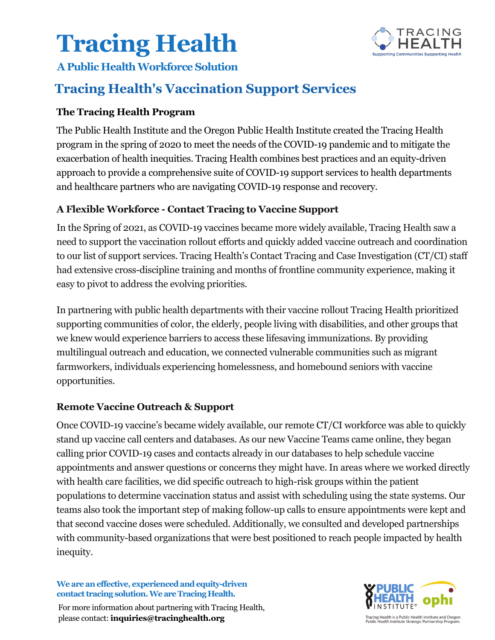## **Tracing Health**



#### **A Public Health Workforce Solution**

### **Tracing Health's Vaccination Support Services**

#### **The Tracing Health Program**

The Public Health Institute and the Oregon Public Health Institute created the Tracing Health program in the spring of 2020 to meet the needs of the COVID-19 pandemic and to mitigate the exacerbation of health inequities. Tracing Health combines best practices and an equity-driven approach to provide a comprehensive suite of COVID-19 support services to health departments and healthcare partners who are navigating COVID-19 response and recovery.

#### **A Flexible Workforce - Contact Tracing to Vaccine Support**

In the Spring of 2021, as COVID-19 vaccines became more widely available, Tracing Health saw a need to support the vaccination rollout efforts and quickly added vaccine outreach and coordination to our list of support services. Tracing Health's Contact Tracing and Case Investigation (CT/CI) staff had extensive cross-discipline training and months of frontline community experience, making it easy to pivot to address the evolving priorities.

In partnering with public health departments with their vaccine rollout Tracing Health prioritized supporting communities of color, the elderly, people living with disabilities, and other groups that we knew would experience barriers to access these lifesaving immunizations. By providing multilingual outreach and education, we connected vulnerable communities such as migrant farmworkers, individuals experiencing homelessness, and homebound seniors with vaccine opportunities.

#### **Remote Vaccine Outreach & Support**

Once COVID-19 vaccine's became widely available, our remote CT/CI workforce was able to quickly stand up vaccine call centers and databases. As our new Vaccine Teams came online, they began calling prior COVID-19 cases and contacts already in our databases to help schedule vaccine appointments and answer questions or concerns they might have. In areas where we worked directly with health care facilities, we did specific outreach to high-risk groups within the patient populations to determine vaccination status and assist with scheduling using the state systems. Our teams also took the important step of making follow-up calls to ensure appointments were kept and that second vaccine doses were scheduled. Additionally, we consulted and developed partnerships with community-based organizations that were best positioned to reach people impacted by health inequity.

**We are an effective, experiencedand equity-driven contact tracing solution. We are Tracing Health.** 

For more information about partnering with Tracing Health, please contact: **[inquiries@tracinghealth.org](mailto:Camille.Johnson-Arthur@tracinghealth.org)**



.<br>Tracing Health is a Public Health Institute and Oregon<br>Public Health Institute Strategic Partnership Program.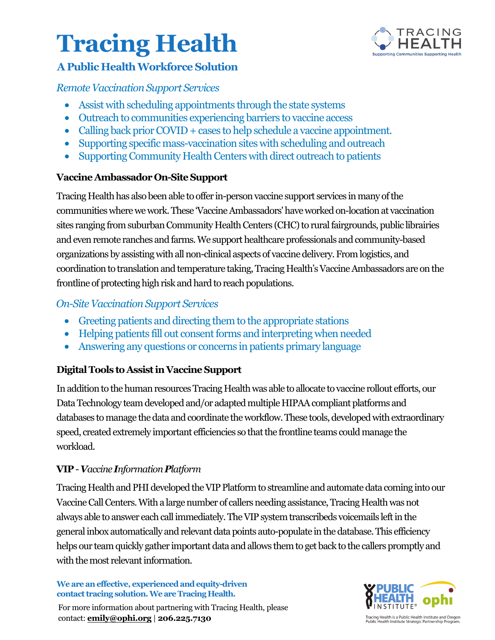### **Tracing Health**



#### **A Public Health Workforce Solution**

#### *Remote Vaccination Support Services*

- Assist with scheduling appointments through the state systems
- Outreach to communities experiencing barriers to vaccine access
- Calling back prior COVID + cases to help schedule a vaccine appointment.
- Supporting specific mass-vaccination sites with scheduling and outreach
- Supporting Community Health Centers with direct outreach to patients

#### **Vaccine Ambassador On-Site Support**

Tracing Health has also been able to offer in-person vaccine support services in many of the communities where we work. These 'Vaccine Ambassadors' have worked on-location at vaccination sites ranging from suburban Community Health Centers (CHC) to rural fairgrounds, public librairies and even remote ranches and farms. We support healthcare professionals and community-based organizations by assisting with all non-clinical aspects of vaccine delivery. From logistics, and coordination to translation and temperature taking, Tracing Health's Vaccine Ambassadors are on the frontline of protecting high risk and hard to reach populations.

#### *On-SiteVaccination Support Services*

- Greeting patients and directing them to the appropriate stations
- Helping patients fill out consent forms and interpreting when needed
- Answering any questions or concerns in patients primary language

#### **Digital Tools to Assist in Vaccine Support**

In addition to the human resources Tracing Health was able to allocate to vaccine rollout efforts, our Data Technology team developed and/or adapted multiple HIPAA compliant platforms and databases to manage the data and coordinate the workflow. These tools, developed with extraordinary speed, created extremely important efficiencies so that the frontline teams could manage the workload.

#### **VIP** - *Vaccine Information Platform*

Tracing Health and PHI developed the VIP Platform to streamline and automate data coming into our Vaccine Call Centers. With a large number of callers needing assistance, Tracing Health was not always able to answer each call immediately. The VIP system transcribeds voicemails left in the general inbox automatically and relevant data points auto-populate in the database. This efficiency helps our team quickly gather important data and allows them to get back to the callers promptly and with the most relevant information.

#### **We are an effective, experiencedand equity-driven contact tracing solution. We are Tracing Health.**





.<br>Tracing Health is a Public Health Institute and Oregon<br>Public Health Institute Strategic Partnership Program.